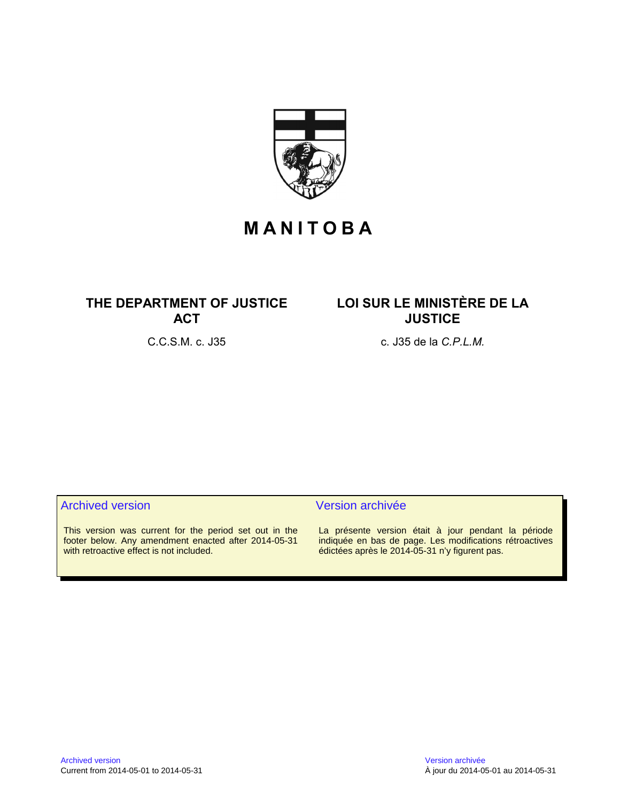

# **M A N I T O B A**

## **THE DEPARTMENT OF JUSTICE ACT**

## **LOI SUR LE MINISTÈRE DE LA JUSTICE**

C.C.S.M. c. J35 c. J35 de la *C.P.L.M.*

#### Archived version and version archivée

This version was current for the period set out in the footer below. Any amendment enacted after 2014-05-31 with retroactive effect is not included.

La présente version était à jour pendant la période indiquée en bas de page. Les modifications rétroactives édictées après le 2014-05-31 n'y figurent pas.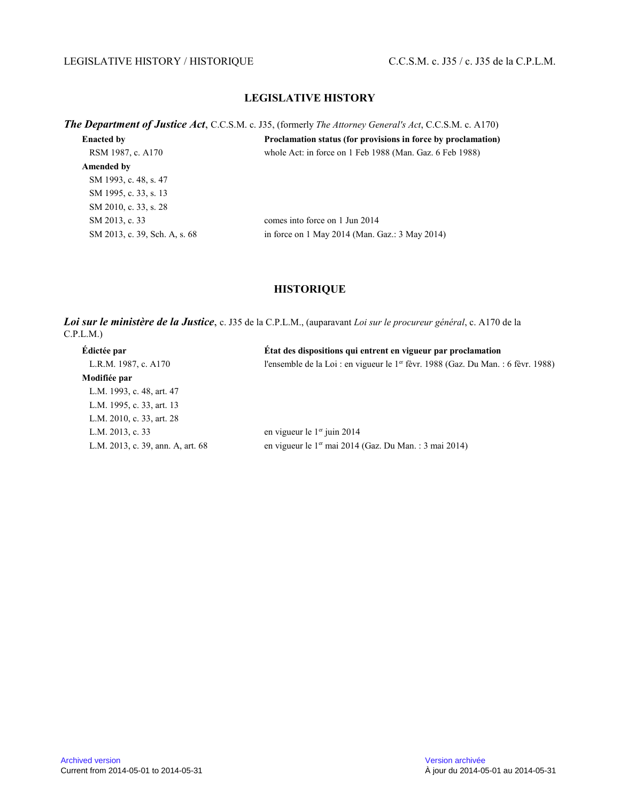#### LEGISLATIVE HISTORY / HISTORIQUE C.C.S.M. c. J35 / c. J35 de la C.P.L.M.

### **LEGISLATIVE HISTORY**

*The Department of Justice Act*, C.C.S.M. c. J35, (formerly *The Attorney General's Act*, C.C.S.M. c. A170)

| <b>Enacted by</b>             | Proclamation status (for provisions in force by proclamation) |
|-------------------------------|---------------------------------------------------------------|
| RSM 1987, c. A170             | whole Act: in force on 1 Feb 1988 (Man. Gaz. 6 Feb 1988)      |
| Amended by                    |                                                               |
| SM 1993, c. 48, s. 47         |                                                               |
| SM 1995, c. 33, s. 13         |                                                               |
| SM 2010, c. 33, s. 28         |                                                               |
| SM 2013, c. 33                | comes into force on 1 Jun 2014                                |
| SM 2013, c. 39, Sch. A, s. 68 | in force on 1 May 2014 (Man. Gaz.: $3$ May 2014)              |

#### **HISTORIQUE**

*Loi sur le ministère de la Justice*, c. J35 de la C.P.L.M., (auparavant *Loi sur le procureur général*, c. A170 de la C.P.L.M.)

| Édictée par                       | État des dispositions qui entrent en vigueur par proclamation                                 |
|-----------------------------------|-----------------------------------------------------------------------------------------------|
| L.R.M. 1987, c. A170              | l'ensemble de la Loi : en vigueur le 1 <sup>er</sup> fèvr. 1988 (Gaz. Du Man. : 6 fèvr. 1988) |
| Modifiée par                      |                                                                                               |
| L.M. 1993, c. 48, art. 47         |                                                                                               |
| L.M. 1995, c. 33, art. 13         |                                                                                               |
| L.M. 2010, c. 33, art. 28         |                                                                                               |
| L.M. 2013, c. 33                  | en vigueur le $1er$ juin 2014                                                                 |
| L.M. 2013, c. 39, ann. A, art. 68 | en vigueur le 1 <sup>er</sup> mai 2014 (Gaz. Du Man.: 3 mai 2014)                             |
|                                   |                                                                                               |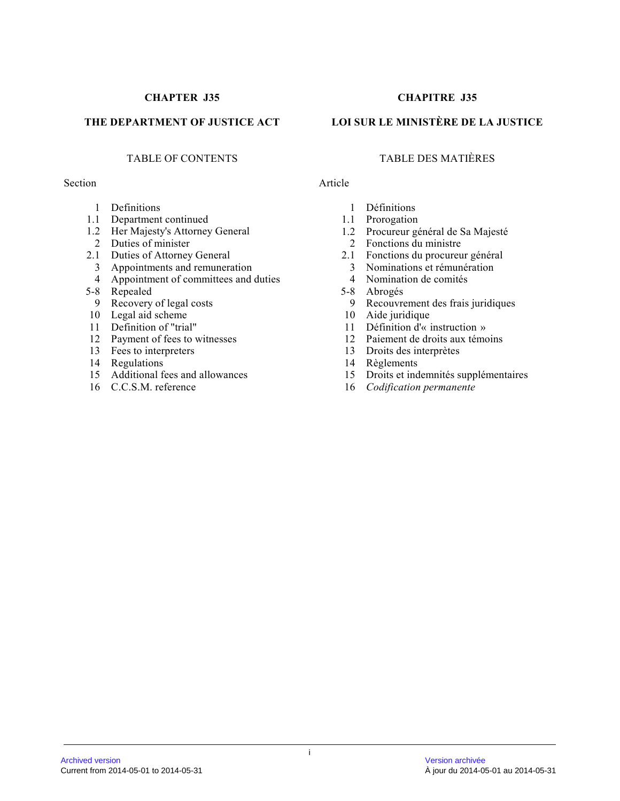#### Section Article

- 1 Definitions
- 1.1 Department continued
- 1.2 Her Majesty's Attorney General
- 2 Duties of minister
- 2.1 Duties of Attorney General
- 3 Appointments and remuneration
- 4 Appointment of committees and duties
- 5-8 Repealed
- 9 Recovery of legal costs
- 10 Legal aid scheme
- 11 Definition of "trial"
- 12 Payment of fees to witnesses
- 13 Fees to interpreters
- 14 Regulations
- 15 Additional fees and allowances
- 16 C.C.S.M. reference

### **CHAPTER J35 CHAPITRE J35**

### **THE DEPARTMENT OF JUSTICE ACT LOI SUR LE MINISTÈRE DE LA JUSTICE**

### TABLE OF CONTENTS TABLE DES MATIÈRES

- 1 Définitions
- 1.1 Prorogation
- 1.2 Procureur général de Sa Majesté
- 2 Fonctions du ministre
- 2.1 Fonctions du procureur général
	- 3 Nominations et rémunération
	- 4 Nomination de comités
- 5-8 Abrogés
	- 9 Recouvrement des frais juridiques
- 10 Aide juridique
- 11 Définition d'« instruction »
- 12 Paiement de droits aux témoins
- 13 Droits des interprètes
- 14 Règlements
- 15 Droits et indemnités supplémentaires
- 16 *Codification permanente*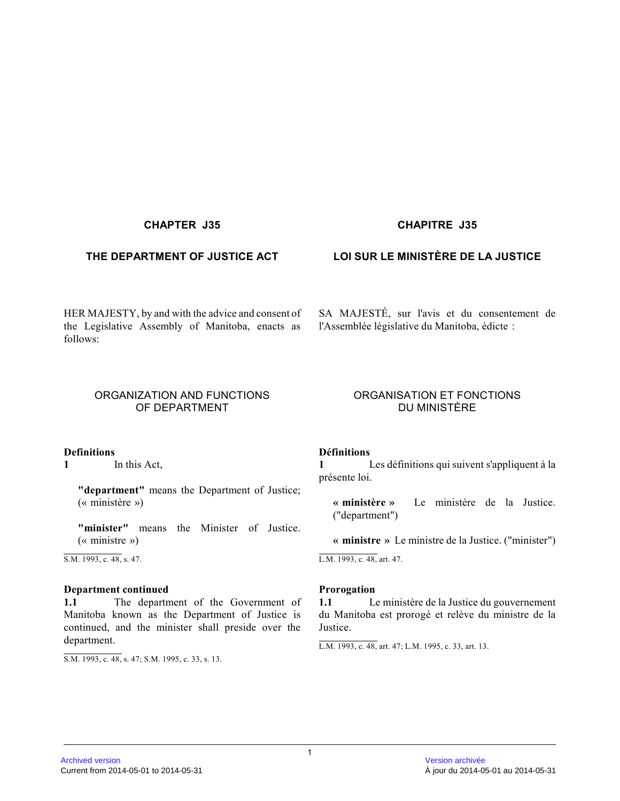#### **CHAPTER J35 CHAPITRE J35**

HER MAJESTY, by and with the advice and consent of the Legislative Assembly of Manitoba, enacts as follows:

#### ORGANIZATION AND FUNCTIONS OF DEPARTMENT

#### **Definitions**

**1** In this Act,

**"department"** means the Department of Justice; (« ministère »)

**"minister"** means the Minister of Justice. (« ministre »)

S.M. 1993, c. 48, s. 47.

#### **Department continued**

**1.1** The department of the Government of Manitoba known as the Department of Justice is continued, and the minister shall preside over the department.

S.M. 1993, c. 48, s. 47; S.M. 1995, c. 33, s. 13.

### **THE DEPARTMENT OF JUSTICE ACT LOI SUR LE MINISTÈRE DE LA JUSTICE**

SA MAJESTÉ, sur l'avis et du consentement de l'Assemblée législative du Manitoba, édicte :

#### ORGANISATION ET FONCTIONS DU MINISTÈRE

#### **Définitions**

**1** Les définitions qui suivent s'appliquent à la présente loi.

**« ministère »** Le ministère de la Justice. ("department")

**« ministre »** Le ministre de la Justice. ("minister")

L.M. 1993, c. 48, art. 47.

#### **Prorogation**

**1.1** Le ministère de la Justice du gouvernement du Manitoba est prorogé et relève du ministre de la Justice.

L.M. 1993, c. 48, art. 47; L.M. 1995, c. 33, art. 13.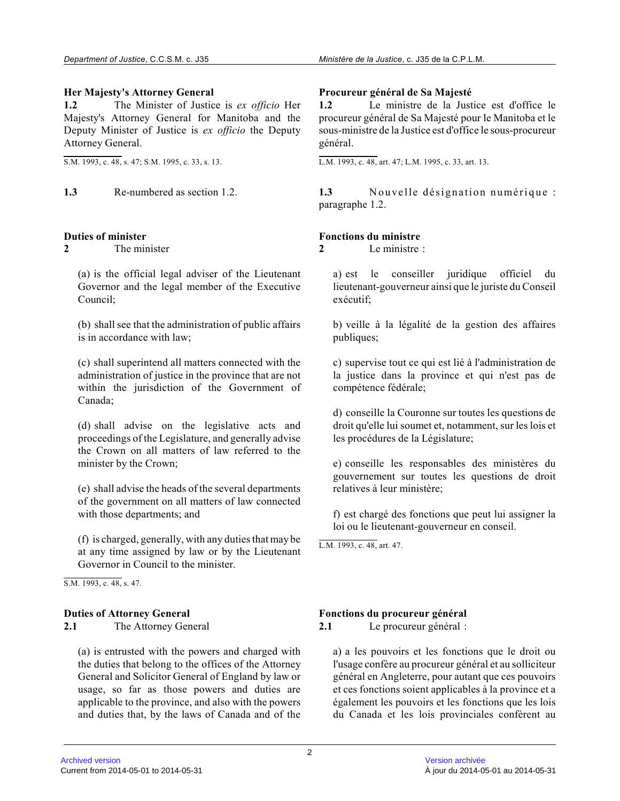#### **Her Majesty's Attorney General**

**1.2** The Minister of Justice is *ex officio* Her Majesty's Attorney General for Manitoba and the Deputy Minister of Justice is *ex officio* the Deputy Attorney General.

S.M. 1993, c. 48, s. 47; S.M. 1995, c. 33, s. 13.

#### **Duties of minister**

**2** The minister

(a) is the official legal adviser of the Lieutenant Governor and the legal member of the Executive Council;

(b) shall see that the administration of public affairs is in accordance with law;

(c) shall superintend all matters connected with the administration of justice in the province that are not within the jurisdiction of the Government of Canada;

(d) shall advise on the legislative acts and proceedings of the Legislature, and generally advise the Crown on all matters of law referred to the minister by the Crown;

(e) shall advise the heads of the several departments of the government on all matters of law connected with those departments; and

(f) is charged, generally, with any duties that may be at any time assigned by law or by the Lieutenant Governor in Council to the minister.

S.M. 1993, c. 48, s. 47.

#### **Duties of Attorney General**

**2.1** The Attorney General

(a) is entrusted with the powers and charged with the duties that belong to the offices of the Attorney General and Solicitor General of England by law or usage, so far as those powers and duties are applicable to the province, and also with the powers and duties that, by the laws of Canada and of the

#### **Procureur général de Sa Majesté**

**1.2** Le ministre de la Justice est d'office le procureur général de Sa Majesté pour le Manitoba et le sous-ministre de la Justice est d'office le sous-procureur général.

L.M. 1993, c. 48, art. 47; L.M. 1995, c. 33, art. 13.

**1.3** Re-numbered as section 1.2. **1.3** Nouvelle désignation numérique : paragraphe 1.2.

#### **Fonctions du ministre**

**2** Le ministre :

a) est le conseiller juridique officiel du lieutenant-gouverneur ainsi que le juriste du Consei l exécutif;

b) veille à la légalité de la gestion des affaires publiques;

c) supervise tout ce qui est lié à l'administration d e la justice dans la province et qui n'est pas de compétence fédérale;

d) conseille la Couronne sur toutes les questions de droit qu'elle lui soumet et, notamment, sur les lois et les procédures de la Législature;

e) conseille les responsables des ministères du gouvernement sur toutes les questions de droit relatives à leur ministère;

f) est chargé des fonctions que peut lui assigner la loi ou le lieutenant-gouverneur en conseil.

L.M. 1993, c. 48, art. 47.

#### **Fonctions du procureur général**

**2.1** Le procureur général :

a) a les pouvoirs et les fonctions que le droit ou l'usage confère au procureur général et au solliciteur général en Angleterre, pour autant que ces pouvoirs et ces fonctions soient applicables à la province et a également les pouvoirs et les fonctions que les lois du Canada et les lois provinciales confèrent au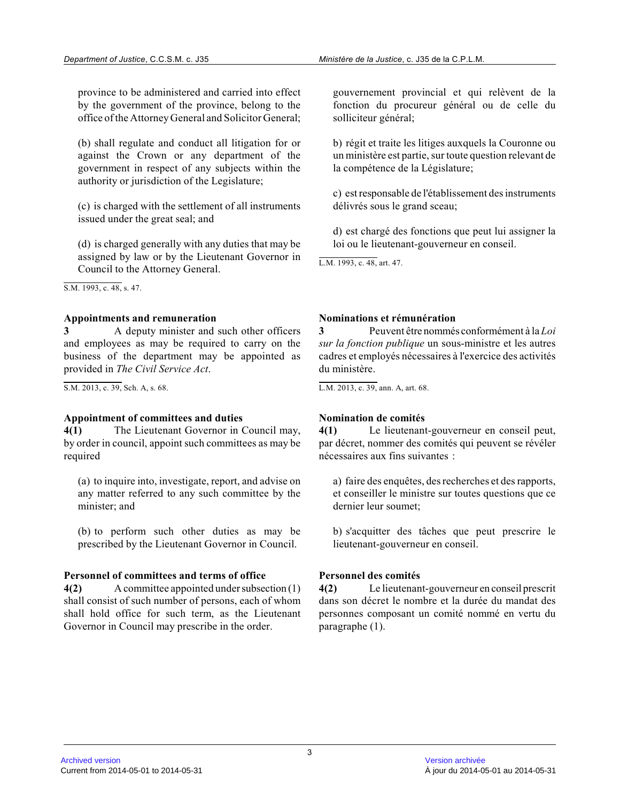province to be administered and carried into effect by the government of the province, belong to the office of the Attorney General and Solicitor General ;

(b) shall regulate and conduct all litigation for or against the Crown or any department of the government in respect of any subjects within the authority or jurisdiction of the Legislature;

(c) is charged with the settlement of all instrument s issued under the great seal; and

(d) is charged generally with any duties that may be assigned by law or by the Lieutenant Governor in Council to the Attorney General.

S.M. 1993, c. 48, s. 47.

#### **Appointments and remuneration**

**3** A deputy minister and such other officers and employees as may be required to carry on the business of the department may be appointed as provided in *The Civil Service Act* .

S.M. 2013, c. 39, Sch. A, s. 68.

#### **Appointment of committees and duties**

**4(1)** The Lieutenant Governor in Council may, by order in council, appoint such committees as may be required

(a) to inquire into, investigate, report, and advise o n any matter referred to any such committee by the minister; and

(b) to perform such other duties as may be prescribed by the Lieutenant Governor in Council.

#### **Personnel of committees and terms of office**

**4(2)** A committee appointed under subsection (1) shall consist of such number of persons, each of whom shall hold office for such term, as the Lieutenant Governor in Council may prescribe in the order.

gouvernement provincial et qui relèvent de la fonction du procureur général ou de celle du solliciteur général;

b) régit et traite les litiges auxquels la Couronne ou un ministère est partie, sur toute question relevant de la compétence de la Législature;

c) est responsable de l'établissement des instruments délivrés sous le grand sceau;

d) est chargé des fonctions que peut lui assigner la loi ou le lieutenant-gouverneur en conseil.

L.M. 1993, c. 48, art. 47.

#### **Nominations et rémunération**

**3** Peuvent être nommés conformément à la *Loi sur la fonction publique* un sous-ministre et les autres cadres et employés nécessaires à l'exercice des activités du ministère.

L.M. 2013, c. 39, ann. A, art. 68.

#### **Nomination de comités**

**4(1)** Le lieutenant-gouverneur en conseil peut, par décret, nommer des comités qui peuvent se révéler nécessaires aux fins suivantes :

a) faire des enquêtes, des recherches et des rapports, et conseiller le ministre sur toutes questions que ce dernier leur soumet;

b) s'acquitter des tâches que peut prescrire le lieutenant-gouverneur en conseil.

### **Personnel des comités**

**4(2)** Le lieutenant-gouverneur en conseil prescrit dans son décret le nombre et la durée du mandat des personnes composant un comité nommé en vertu du paragraphe (1).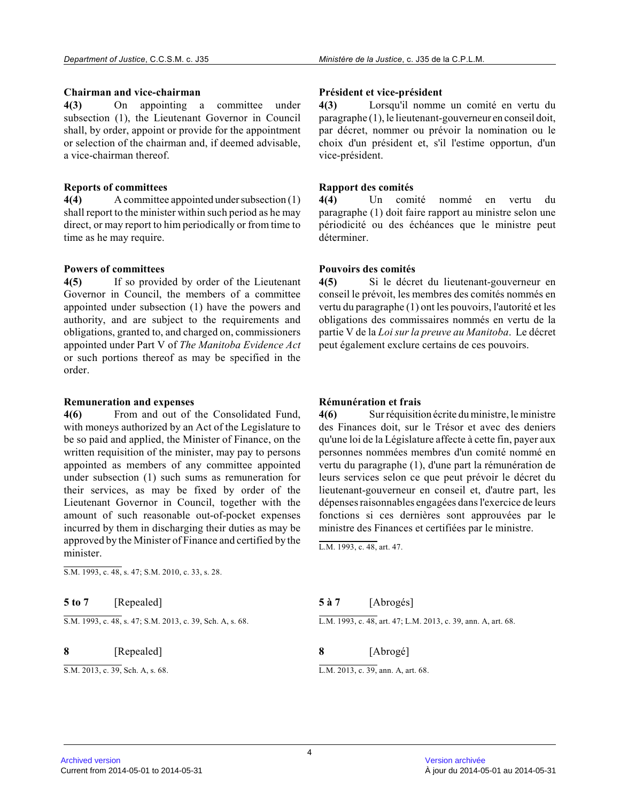#### **Chairman and vice-chairman**

**4(3)** On appointing a committee under subsection (1), the Lieutenant Governor in Council shall, by order, appoint or provide for the appointment or selection of the chairman and, if deemed advisable, a vice-chairman thereof.

#### **Reports of committees**

**4(4)** A committee appointed under subsection (1) shall report to the minister within such period as he may direct, or may report to him periodically or from time to time as he may require.

#### **Powers of committees**

**4(5)** If so provided by order of the Lieutenant Governor in Council, the members of a committee appointed under subsection (1) have the powers and authority, and are subject to the requirements and obligations, granted to, and charged on, commissioners appointed under Part V of *The Manitoba Evidence Act* or such portions thereof as may be specified in the order.

#### **Remuneration and expenses**

**4(6)** From and out of the Consolidated Fund, with moneys authorized by an Act of the Legislature to be so paid and applied, the Minister of Finance, on the written requisition of the minister, may pay to persons appointed as members of any committee appointed under subsection (1) such sums as remuneration for their services, as may be fixed by order of the Lieutenant Governor in Council, together with the amount of such reasonable out-of-pocket expenses incurred by them in discharging their duties as may be approved by the Minister of Finance and certified by the minister.

S.M. 1993, c. 48, s. 47; S.M. 2010, c. 33, s. 28.

**5 to 7** [Repealed]

S.M. 1993, c. 48, s. 47; S.M. 2013, c. 39, Sch. A, s. 68.

**8** [Repealed]

S.M. 2013, c. 39, Sch. A, s. 68.

#### **Président et vice-président**

**4(3)** Lorsqu'il nomme un comité en vertu du paragraphe (1), le lieutenant-gouverneur en conseil doit, par décret, nommer ou prévoir la nomination ou le choix d'un président et, s'il l'estime opportun, d'un vice-président.

#### **Rapport des comités**

**4(4)** Un comité nommé en vertu du paragraphe (1) doit faire rapport au ministre selon une périodicité ou des échéances que le ministre peut déterminer.

#### **Pouvoirs des comités**

**4(5)** Si le décret du lieutenant-gouverneur en conseil le prévoit, les membres des comités nommés e n vertu du paragraphe (1) ont les pouvoirs, l'autorité et les obligations des commissaires nommés en vertu de la partie V de la *Loi sur la preuve au Manitoba*. Le décret peut également exclure certains de ces pouvoirs.

#### **Rémunération et frais**

**4(6)** Sur réquisition écrite du ministre, le ministre des Finances doit, sur le Trésor et avec des denier s qu'une loi de la Législature affecte à cette fin, payer aux personnes nommées membres d'un comité nommé en vertu du paragraphe (1), d'une part la rémunération de leurs services selon ce que peut prévoir le décret du lieutenant-gouverneur en conseil et, d'autre part, les dépenses raisonnables engagées dans l'exercice de leurs fonctions si ces dernières sont approuvées par le ministre des Finances et certifiées par le ministre .

L.M. 1993, c. 48, art. 47.

| 5 à 7 | [Abrogés]                                                    |
|-------|--------------------------------------------------------------|
|       | L.M. 1993. c. 48. art. 47: L.M. 2013. c. 39. ann. A. art. 68 |

**8** [Abrogé]

L.M. 2013, c. 39, ann. A, art. 68.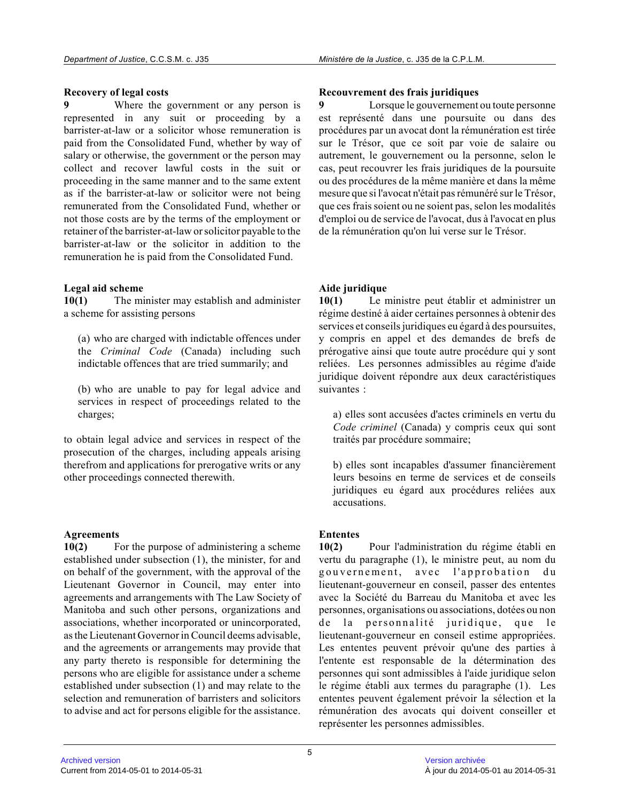#### **Recovery of legal costs**

**9** Where the government or any person is represented in any suit or proceeding by a barrister-at-law or a solicitor whose remuneration is paid from the Consolidated Fund, whether by way of salary or otherwise, the government or the person may collect and recover lawful costs in the suit or proceeding in the same manner and to the same extent as if the barrister-at-law or solicitor were not being remunerated from the Consolidated Fund, whether or not those costs are by the terms of the employment or retainer of the barrister-at-law or solicitor payable to the barrister-at-law or the solicitor in addition to th e remuneration he is paid from the Consolidated Fund.

#### **Legal aid scheme**

**10(1)** The minister may establish and administer a scheme for assisting persons

(a) who are charged with indictable offences under the *Criminal Code* (Canada) including such indictable offences that are tried summarily; and

(b) who are unable to pay for legal advice and services in respect of proceedings related to the charges;

to obtain legal advice and services in respect of the prosecution of the charges, including appeals arising therefrom and applications for prerogative writs or any other proceedings connected therewith.

#### **Agreements**

**10(2)** For the purpose of administering a scheme established under subsection (1), the minister, for and on behalf of the government, with the approval of the Lieutenant Governor in Council, may enter into agreements and arrangements with The Law Society of Manitoba and such other persons, organizations and associations, whether incorporated or unincorporated, as the Lieutenant Governor in Council deems advisable , and the agreements or arrangements may provide that any party thereto is responsible for determining th e persons who are eligible for assistance under a scheme established under subsection (1) and may relate to the selection and remuneration of barristers and solicitors to advise and act for persons eligible for the assistance.

#### **Recouvrement des frais juridiques**

**9** Lorsque le gouvernement ou toute personne est représenté dans une poursuite ou dans des procédures par un avocat dont la rémunération est tirée sur le Trésor, que ce soit par voie de salaire ou autrement, le gouvernement ou la personne, selon le cas, peut recouvrer les frais juridiques de la poursuite ou des procédures de la même manière et dans la mêm e mesure que si l'avocat n'était pas rémunéré sur le Trésor, que ces frais soient ou ne soient pas, selon les modalités d'emploi ou de service de l'avocat, dus à l'avocat en plus de la rémunération qu'on lui verse sur le Trésor.

### **Aide juridique**

**10(1)** Le ministre peut établir et administrer un régime destiné à aider certaines personnes à obtenir des services et conseils juridiques eu égard à des poursuites, y compris en appel et des demandes de brefs de prérogative ainsi que toute autre procédure qui y sont reliées. Les personnes admissibles au régime d'aid e juridique doivent répondre aux deux caractéristiques suivantes :

a) elles sont accusées d'actes criminels en vertu du *Code criminel* (Canada) y compris ceux qui sont traités par procédure sommaire;

b) elles sont incapables d'assumer financièrement leurs besoins en terme de services et de conseils juridiques eu égard aux procédures reliées aux accusations.

### **Ententes**

**10(2)** Pour l'administration du régime établi en vertu du paragraphe (1), le ministre peut, au nom du gouvernement, avec l'approbation du lieutenant-gouverneur en conseil, passer des entente s avec la Société du Barreau du Manitoba et avec les personnes, organisations ou associations, dotées ou non de la personnalité juridique, que le lieutenant-gouverneur en conseil estime appropriées. Les ententes peuvent prévoir qu'une des parties à l'entente est responsable de la détermination des personnes qui sont admissibles à l'aide juridique selon le régime établi aux termes du paragraphe (1). Les ententes peuvent également prévoir la sélection et la rémunération des avocats qui doivent conseiller et représenter les personnes admissibles.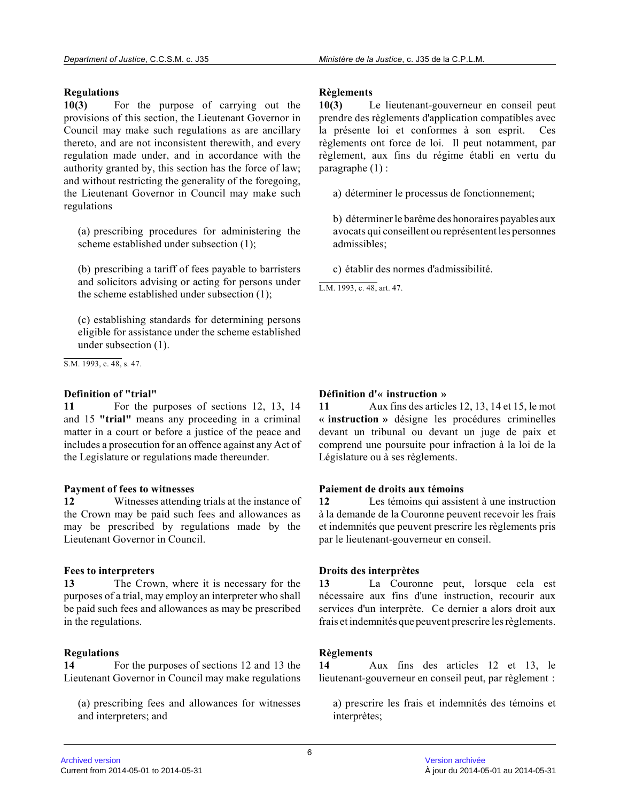### **Regulations**

**10(3)** For the purpose of carrying out the provisions of this section, the Lieutenant Governor i n Council may make such regulations as are ancillary thereto, and are not inconsistent therewith, and every regulation made under, and in accordance with the authority granted by, this section has the force of law; and without restricting the generality of the foregoing, the Lieutenant Governor in Council may make such regulations

(a) prescribing procedures for administering the scheme established under subsection (1);

(b) prescribing a tariff of fees payable to barristers and solicitors advising or acting for persons under the scheme established under subsection (1);

(c) establishing standards for determining persons eligible for assistance under the scheme establishe d under subsection (1).

S.M. 1993, c. 48, s. 47.

#### **Definition of "trial"**

**11** For the purposes of sections 12, 13, 14 and 15 **"trial"** means any proceeding in a criminal matter in a court or before a justice of the peace and includes a prosecution for an offence against any Act of the Legislature or regulations made thereunder.

#### **Payment of fees to witnesses**

**12** Witnesses attending trials at the instance of the Crown may be paid such fees and allowances as may be prescribed by regulations made by the Lieutenant Governor in Council.

#### **Fees to interpreters**

**13** The Crown, where it is necessary for the purposes of a trial, may employ an interpreter who shall be paid such fees and allowances as may be prescribed in the regulations.

#### **Regulations**

**14** For the purposes of sections 12 and 13 the Lieutenant Governor in Council may make regulations

(a) prescribing fees and allowances for witnesses and interpreters; and

#### **Règlements**

**10(3)** Le lieutenant-gouverneur en conseil peut prendre des règlements d'application compatibles ave c la présente loi et conformes à son esprit. Ces règlements ont force de loi. Il peut notamment, pa r règlement, aux fins du régime établi en vertu du paragraphe (1) :

a) déterminer le processus de fonctionnement;

b) déterminer le barême des honoraires payables aux avocats qui conseillent ou représentent les personnes admissibles;

c) établir des normes d'admissibilité.

L.M. 1993, c. 48, art. 47.

### **Définition d'« instruction »**

**11** Aux fins des articles 12, 13, 14 et 15, le mot **« instruction »** désigne les procédures criminelles devant un tribunal ou devant un juge de paix et comprend une poursuite pour infraction à la loi de la Législature ou à ses règlements.

#### **Paiement de droits aux témoins**

**12** Les témoins qui assistent à une instruction à la demande de la Couronne peuvent recevoir les frai s et indemnités que peuvent prescrire les règlements pris par le lieutenant-gouverneur en conseil.

#### **Droits des interprètes**

**13** La Couronne peut, lorsque cela est nécessaire aux fins d'une instruction, recourir aux services d'un interprète. Ce dernier a alors droit aux frais et indemnités que peuvent prescrire les règlements.

#### **Règlements**

**14** Aux fins des articles 12 et 13, le lieutenant-gouverneur en conseil peut, par règlement :

a) prescrire les frais et indemnités des témoins et interprètes;